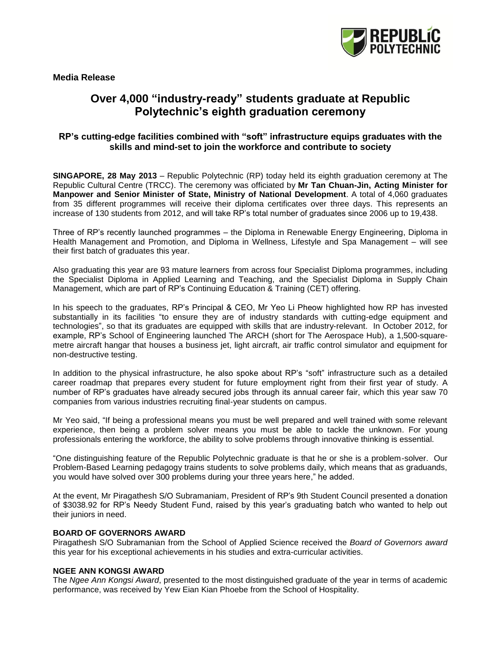

**Media Release**

# **Over 4,000 "industry-ready" students graduate at Republic Polytechnic's eighth graduation ceremony**

## **RP's cutting-edge facilities combined with "soft" infrastructure equips graduates with the skills and mind-set to join the workforce and contribute to society**

**SINGAPORE, 28 May 2013** – Republic Polytechnic (RP) today held its eighth graduation ceremony at The Republic Cultural Centre (TRCC). The ceremony was officiated by **Mr Tan Chuan-Jin, Acting Minister for Manpower and Senior Minister of State, Ministry of National Development**. A total of 4,060 graduates from 35 different programmes will receive their diploma certificates over three days. This represents an increase of 130 students from 2012, and will take RP's total number of graduates since 2006 up to 19,438.

Three of RP's recently launched programmes – the Diploma in Renewable Energy Engineering, Diploma in Health Management and Promotion, and Diploma in Wellness, Lifestyle and Spa Management – will see their first batch of graduates this year.

Also graduating this year are 93 mature learners from across four Specialist Diploma programmes, including the Specialist Diploma in Applied Learning and Teaching, and the Specialist Diploma in Supply Chain Management, which are part of RP's Continuing Education & Training (CET) offering.

In his speech to the graduates, RP's Principal & CEO, Mr Yeo Li Pheow highlighted how RP has invested substantially in its facilities "to ensure they are of industry standards with cutting-edge equipment and technologies", so that its graduates are equipped with skills that are industry-relevant. In October 2012, for example, RP's School of Engineering launched The ARCH (short for The Aerospace Hub), a 1,500-squaremetre aircraft hangar that houses a business jet, light aircraft, air traffic control simulator and equipment for non-destructive testing.

In addition to the physical infrastructure, he also spoke about RP's "soft" infrastructure such as a detailed career roadmap that prepares every student for future employment right from their first year of study. A number of RP's graduates have already secured jobs through its annual career fair, which this year saw 70 companies from various industries recruiting final-year students on campus.

Mr Yeo said, "If being a professional means you must be well prepared and well trained with some relevant experience, then being a problem solver means you must be able to tackle the unknown. For young professionals entering the workforce, the ability to solve problems through innovative thinking is essential.

"One distinguishing feature of the Republic Polytechnic graduate is that he or she is a problem-solver. Our Problem-Based Learning pedagogy trains students to solve problems daily, which means that as graduands, you would have solved over 300 problems during your three years here," he added.

At the event, Mr Piragathesh S/O Subramaniam, President of RP's 9th Student Council presented a donation of \$3038.92 for RP's Needy Student Fund, raised by this year's graduating batch who wanted to help out their juniors in need.

#### **BOARD OF GOVERNORS AWARD**

Piragathesh S/O Subramanian from the School of Applied Science received the *Board of Governors award* this year for his exceptional achievements in his studies and extra-curricular activities.

#### **NGEE ANN KONGSI AWARD**

The *Ngee Ann Kongsi Award*, presented to the most distinguished graduate of the year in terms of academic performance, was received by Yew Eian Kian Phoebe from the School of Hospitality.